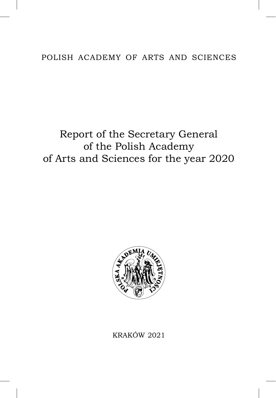# POLISH ACADEMY OF ARTS AND SCIENCES

# Report of the Secretary General of the Polish Academy of Arts and Sciences for the year 20



KRAKÓW 20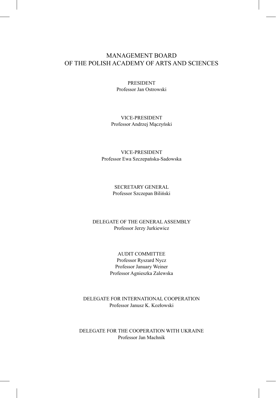# MANAGEMENT BOARD OF THE POLISH ACADEMY OF ARTS AND SCIENCES

PRESIDENT Professor Jan Ostrowski

VICE-PRESIDENT Professor Andrzej Mączyński

VICE-PRESIDENT Professor Ewa Szczepańska-Sadowska

> SECRETARY GENERAL Professor Szczepan Biliński

DELEGATE OF THE GENERAL ASSEMBLY Professor Jerzy Jurkiewicz

> AUDIT COMMITTEE Professor Ryszard Nycz Professor January Weiner Professor Agnieszka Zalewska

DELEGATE FOR INTERNATIONAL COOPERATION Professor Janusz K. Kozłowski

DELEGATE FOR THE COOPERATION WITH UKRAINE Professor Jan Machnik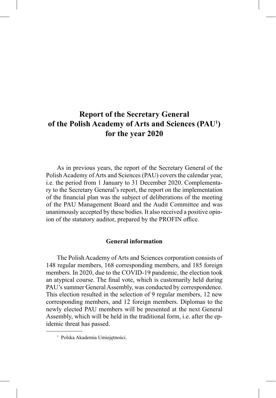# **Report of the Secretary General of the Polish Academy of Arts and Sciences (PAU1 ) for the year 2020**

As in previous years, the report of the Secretary General of the Polish Academy of Arts and Sciences (PAU) covers the calendar year, i.e. the period from 1 January to 31 December 2020. Complementary to the Secretary General's report, the report on the implementation of the financial plan was the subject of deliberations of the meeting of the PAU Management Board and the Audit Committee and was unanimously accepted by these bodies. It also received a positive opinion of the statutory auditor, prepared by the PROFIN office.

#### **General information**

The Polish Academy of Arts and Sciences corporation consists of 148 regular members, 168 corresponding members, and 185 foreign members. In 2020, due to the COVID-19 pandemic, the election took an atypical course. The final vote, which is customarily held during PAU's summer General Assembly, was conducted by correspondence. This election resulted in the selection of 9 regular members, 12 new corresponding members, and 12 foreign members. Diplomas to the newly elected PAU members will be presented at the next General Assembly, which will be held in the traditional form, i.e. after the epidemic threat has passed.

<sup>&</sup>lt;sup>1</sup> Polska Akademia Umiejętności.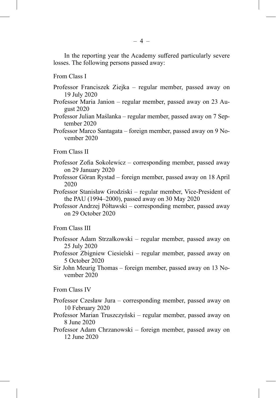In the reporting year the Academy suffered particularly severe losses. The following persons passed away:

From Class I

- Professor Franciszek Ziejka regular member, passed away on 19 July 2020
- Professor Maria Janion regular member, passed away on 23 August 2020
- Professor Julian Maślanka regular member, passed away on 7 September 2020
- Professor Marco Santagata foreign member, passed away on 9 November 2020

From Class II

- Professor Zofia Sokolewicz corresponding member, passed away on 29 January 2020
- Professor Göran Rystad foreign member, passed away on 18 April 2020
- Professor Stanisław Grodziski regular member, Vice-President of the PAU (1994–2000), passed away on 30 May 2020
- Professor Andrzej Półtawski corresponding member, passed away on 29 October 2020

From Class III

- Professor Adam Strzałkowski regular member, passed away on 25 July 2020
- Professor Zbigniew Ciesielski regular member, passed away on 5 October 2020
- Sir John Meurig Thomas foreign member, passed away on 13 November 2020

From Class IV

- Professor Czesław Jura corresponding member, passed away on 10 February 2020
- Professor Marian Truszczyński regular member, passed away on 8 June 2020
- Professor Adam Chrzanowski foreign member, passed away on 12 June 2020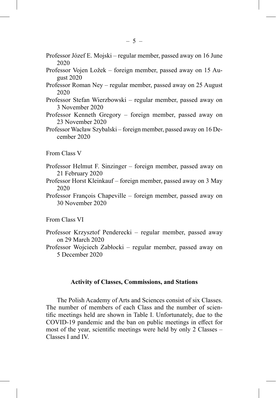- Professor Józef E. Mojski regular member, passed away on 16 June 2020
- Professor Vojen Ložek foreign member, passed away on 15 August 2020
- Professor Roman Ney regular member, passed away on 25 August 2020
- Professor Stefan Wierzbowski regular member, passed away on 3 November 2020
- Professor Kenneth Gregory foreign member, passed away on 23 November 2020
- Professor Wacław Szybalski foreign member, passed away on 16 December 2020

From Class V

- Professor Helmut F. Sinzinger foreign member, passed away on 21 February 2020
- Professor Horst Kleinkauf foreign member, passed away on 3 May 2020
- Professor François Chapeville foreign member, passed away on 30 November 2020

From Class VI

- Professor Krzysztof Penderecki regular member, passed away on 29 March 2020
- Professor Wojciech Zabłocki regular member, passed away on 5 December 2020

### **Activity of Classes, Commissions, and Stations**

The Polish Academy of Arts and Sciences consist of six Classes. The number of members of each Class and the number of scientific meetings held are shown in Table I. Unfortunately, due to the COVID-19 pandemic and the ban on public meetings in effect for most of the year, scientific meetings were held by only  $2$  Classes – Classes I and IV.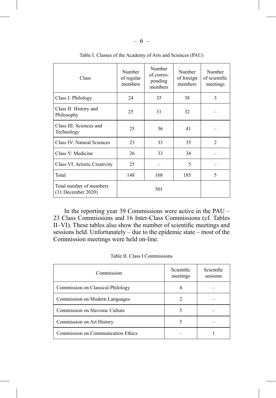| Class                                           | Number<br>of regular<br>members | Number<br>of corres-<br>ponding<br>members | Number<br>of foreign<br>members | Number<br>of scientific<br>meetings |
|-------------------------------------------------|---------------------------------|--------------------------------------------|---------------------------------|-------------------------------------|
| Class I: Philology                              | 24                              | 35                                         | 38                              | 3                                   |
| Class II: History and<br>Philosophy             | 25                              | 31                                         | 32                              |                                     |
| Class III: Sciences and<br>Technology           | 25                              | 36                                         | 41                              |                                     |
| Class IV: Natural Sciences                      | 23                              | 33                                         | 35                              | $\mathfrak{D}$                      |
| Class V: Medicine                               | 26                              | 33                                         | 34                              |                                     |
| Class VI: Artistic Creativity                   | 25                              |                                            | 5                               |                                     |
| Total                                           | 148                             | 168                                        | 185                             | $\overline{\phantom{0}}$            |
| Total number of members<br>$(31$ December 2020) |                                 | 501                                        |                                 |                                     |

Table I. Classes of the Academy of Arts and Sciences (PAU)

In the reporting year 39 Commissions were active in the PAU – 23 Class Commissions and 16 Inter-Class Commissions (cf. Tables II–VI). These tables also show the number of scientific meetings and sessions held. Unfortunately – due to the epidemic state – most of the Commission meetings were held on-line.

| Commission                         | Scientific<br>meetings | Scientific<br>sessions |
|------------------------------------|------------------------|------------------------|
| Commission on Classical Philology  |                        |                        |
| Commission on Modern Languages     |                        |                        |
| Commission on Slavonic Culture     |                        |                        |
| Commission on Art History          |                        |                        |
| Commission on Communication Ethics |                        |                        |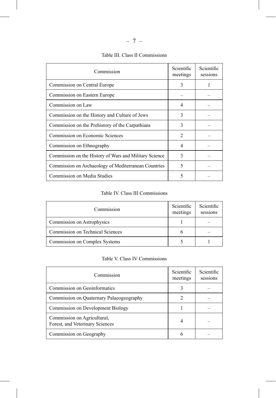| Commission                                             | Scientific<br>meetings | Scientific<br>sessions |
|--------------------------------------------------------|------------------------|------------------------|
| Commission on Central Europe                           | 3                      |                        |
| Commission on Eastern Europe                           |                        |                        |
| Commission on Law                                      | 4                      |                        |
| Commission on the History and Culture of Jews          | 3                      |                        |
| Commission on the Prehistory of the Carpathians        | $\mathbf{3}$           |                        |
| Commission on Economic Sciences                        | $\mathfrak{D}$         |                        |
| Commission on Ethnography                              | 4                      |                        |
| Commission on the History of Wars and Military Science | 3                      |                        |
| Commission on Archaeology of Mediterranean Countries   | 5                      |                        |
| Commission on Media Studies                            |                        |                        |

# Table III. Class II Commissions

Table IV. Class III Commissions

| Commission                       | Scientific<br>meetings | Scientific<br>sessions |
|----------------------------------|------------------------|------------------------|
| Commission on Astrophysics       |                        |                        |
| Commission on Technical Sciences |                        |                        |
| Commission on Complex Systems    |                        |                        |

Table V. Class IV Commissions

| Commission                                                     | Scientific<br>meetings | Scientific<br>sessions |
|----------------------------------------------------------------|------------------------|------------------------|
| Commission on Geoinformatics                                   |                        |                        |
| Commission on Quaternary Palaeogeography                       |                        |                        |
| Commission on Development Biology                              |                        |                        |
| Commission on Agricultural,<br>Forest, and Veterinary Sciences |                        |                        |
| Commission on Geography                                        |                        |                        |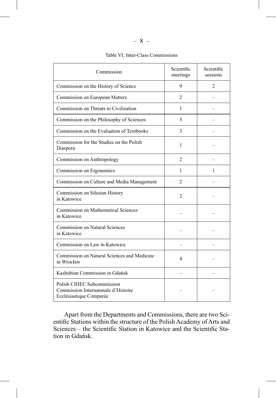| Commission                                                                                   | Scientific<br>meetings | Scientific<br>sessions |
|----------------------------------------------------------------------------------------------|------------------------|------------------------|
| Commission on the History of Science                                                         | 9                      | $\mathfrak{D}$         |
| Commission on European Matters                                                               | 2                      |                        |
| Commission on Threats to Civilization                                                        | 1                      |                        |
| Commission on the Philosophy of Sciences                                                     | 5                      |                        |
| Commission on the Evaluation of Textbooks                                                    | 3                      |                        |
| Commission for the Studies on the Polish<br>Diaspora                                         | 1                      |                        |
| Commission on Anthropology                                                                   | 2                      |                        |
| Commission on Ergonomics                                                                     | 1                      | 1                      |
| Commission on Culture and Media Management                                                   | $\mathfrak{D}$         |                        |
| Commission on Silesian History<br>in Katowice                                                | $\overline{c}$         |                        |
| Commission on Mathematical Sciences<br>in Katowice                                           |                        |                        |
| <b>Commission on Natural Sciences</b><br>in Katowice                                         |                        |                        |
| Commission on Law in Katowice                                                                |                        |                        |
| Commission on Natural Sciences and Medicine<br>in Wrocław                                    | 4                      |                        |
| Kashubian Commission in Gdańsk                                                               |                        |                        |
| Polish CIHEC Subcommission<br>Commission Internatonale d'Histoire<br>Ecclésiastique Comparée |                        |                        |

#### Table VI. Inter-Class Commissions

Apart from the Departments and Commissions, there are two Scientific Stations within the structure of the Polish Academy of Arts and Sciences – the Scientific Station in Katowice and the Scientific Station in Gdańsk.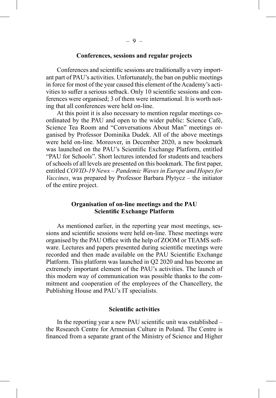#### **Conferences, sessions and regular projects**

Conferences and scientific sessions are traditionally a very important part of PAU's activities. Unfortunately, the ban on public meetings in force for most of the year caused this element of the Academy's activities to suffer a serious setback. Only 10 scientific sessions and conferences were organised; 3 of them were international. It is worth noting that all conferences were held on-line.

At this point it is also necessary to mention regular meetings coordinated by the PAU and open to the wider public: Science Café, Science Tea Room and "Conversations About Man" meetings organised by Professor Dominika Dudek. All of the above meetings were held on-line. Moreover, in December 2020, a new bookmark was launched on the PAU's Scientific Exchange Platform, entitled "PAU for Schools". Short lectures intended for students and teachers of schools of all levels are presented on this bookmark. The first paper, entitled *COVID-19 News – Pandemic Waves in Europe and Hopes for Vaccines*, was prepared by Professor Barbara Płytycz – the initiator of the entire project.

#### **Organisation of on-line meetings and the PAU Scientific Exchange Platform**

As mentioned earlier, in the reporting year most meetings, sessions and scientific sessions were held on-line. These meetings were organised by the PAU Office with the help of ZOOM or TEAMS software. Lectures and papers presented during scientific meetings were recorded and then made available on the PAU Scientific Exchange Platform. This platform was launched in Q2 2020 and has become an extremely important element of the PAU's activities. The launch of this modern way of communication was possible thanks to the commitment and cooperation of the employees of the Chancellery, the Publishing House and PAU's IT specialists.

#### **Scientific activities**

In the reporting year a new PAU scientific unit was established  $$ the Research Centre for Armenian Culture in Poland. The Centre is financed from a separate grant of the Ministry of Science and Higher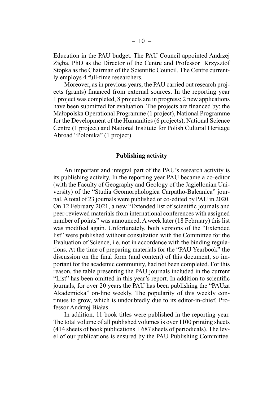Education in the PAU budget. The PAU Council appointed Andrzej Zięba, PhD as the Director of the Centre and Professor Krzysztof Stopka as the Chairman of the Scientific Council. The Centre currently employs 4 full-time researchers.

Moreover, as in previous years, the PAU carried out research projects (grants) financed from external sources. In the reporting year 1 project was completed, 8 projects are in progress; 2 new applications have been submitted for evaluation. The projects are financed by: the Małopolska Operational Programme (1 project), National Programme for the Development of the Humanities (6 projects), National Science Centre (1 project) and National Institute for Polish Cultural Heritage Abroad "Polonika" (1 project).

#### **Publishing activity**

An important and integral part of the PAU's research activity is its publishing activity. In the reporting year PAU became a co-editor (with the Faculty of Geography and Geology of the Jagiellonian University) of the "Studia Geomorphologica Carpatho-Balcanica" journal. A total of 23 journals were published or co-edited by PAU in 2020. On 12 February 2021, a new "Extended list of scientific journals and peer-reviewed materials from international conferences with assigned number of points" was announced. A week later (18 February) this list was modified again. Unfortunately, both versions of the "Extended" list" were published without consultation with the Committee for the Evaluation of Science, i.e. not in accordance with the binding regulations. At the time of preparing materials for the "PAU Yearbook" the discussion on the final form (and content) of this document, so important for the academic community, had not been completed. For this reason, the table presenting the PAU journals included in the current "List" has been omitted in this year's report. In addition to scientific journals, for over 20 years the PAU has been publishing the "PAUza Akademicka" on-line weekly. The popularity of this weekly continues to grow, which is undoubtedly due to its editor-in-chief, Professor Andrzej Białas.

In addition, 11 book titles were published in the reporting year. The total volume of all published volumes is over 1100 printing sheets  $(414$  sheets of book publications  $+687$  sheets of periodicals). The level of our publications is ensured by the PAU Publishing Committee.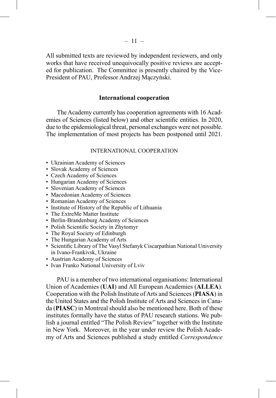All submitted texts are reviewed by independent reviewers, and only works that have received unequivocally positive reviews are accepted for publication. The Committee is presently chaired by the Vice-President of PAU, Professor Andrzej Mączyński.

#### **International cooperation**

The Academy currently has cooperation agreements with 16 Academies of Sciences (listed below) and other scientific entities. In 2020, due to the epidemiological threat, personal exchanges were not possible. The implementation of most projects has been postponed until 2021.

#### INTERNATIONAL COOPERATION

- Ukrainian Academy of Sciences
- Slovak Academy of Sciences
- Czech Academy of Sciences
- Hungarian Academy of Sciences
- Slovenian Academy of Sciences
- Macedonian Academy of Sciences
- Romanian Academy of Sciences
- Institute of History of the Republic of Lithuania
- The ExtreMe Matter Institute
- Berlin-Brandenburg Academy of Sciences
- Polish Scientific Society in Zhytomyr
- The Royal Society of Edinburgh
- The Hungarian Academy of Arts
- Scientific Library of The Vasyl Stefanyk Ciscarpathian National University in Ivano-Frankivsk, Ukraine
- Austrian Academy of Sciences
- Ivan Franko National University of Lviv

PAU is a member of two international organisations: International Union of Academies (**UAI**) and All European Academies (**ALLEA**). Cooperation with the Polish Institute of Arts and Sciences (**PIASA**) in the United States and the Polish Institute of Arts and Sciences in Canada (**PIASC**) in Montreal should also be mentioned here. Both of these institutes formally have the status of PAU research stations. We publish a journal entitled "The Polish Review" together with the Institute in New York. Moreover, in the year under review the Polish Academy of Arts and Sciences published a study entitled *Correspondence*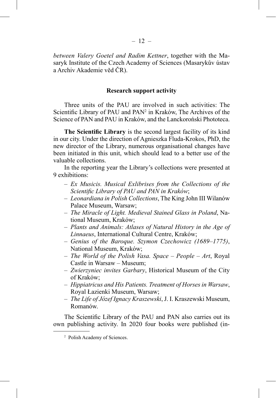*between Valery Goetel and Radim Kettner*, together with the Masaryk Institute of the Czech Academy of Sciences (Masarykův ústav a Archiv Akademie věd ČR).

#### **Research support activity**

Three units of the PAU are involved in such activities: The Scientific Library of PAU and PAN<sup>2</sup> in Kraków, The Archives of the Science of PAN and PAU in Kraków, and the Lanckoroński Phototeca.

**The Scientific Library** is the second largest facility of its kind in our city. Under the direction of Agnieszka Fluda-Krokos, PhD, the new director of the Library, numerous organisational changes have been initiated in this unit, which should lead to a better use of the valuable collections.

In the reporting year the Library's collections were presented at 9 exhibitions:

- *Ex Musicis. Musical Exlibrises from the Collections of the Scientifi c Library of PAU and PAN in Kraków*;
- *Leonardiana in Polish Collections*, The King John III Wilanów Palace Museum, Warsaw;
- *The Miracle of Light. Medieval Stained Glass in Poland*, National Museum, Kraków;
- *Plants and Animals: Atlases of Natural History in the Age of Linnaeus*, International Cultural Centre, Kraków;
- *Genius of the Baroque. Szymon Czechowicz (1689–1775)*, National Museum, Kraków;
- *The World of the Polish Vasa. Space People Art*, Royal Castle in Warsaw – Museum;
- *Zwierzyniec invites Garbary*, Historical Museum of the City of Kraków;
- *Hippiatricus and His Patients. Treatment of Horses in Warsaw*, Royal Łazienki Museum, Warsaw;
- *The Life of Józef Ignacy Kraszewski*, J. I. Kraszewski Museum, Romanów.

The Scientific Library of the PAU and PAN also carries out its own publishing activity. In 2020 four books were published (in-

<sup>2</sup> Polish Academy of Sciences.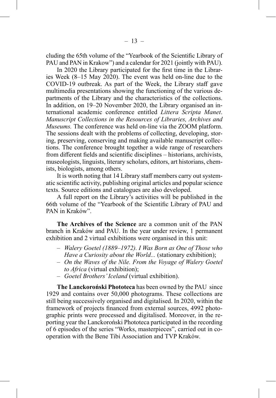cluding the 65th volume of the "Yearbook of the Scientific Library of PAU and PAN in Krakow") and a calendar for 2021 (jointly with PAU).

In 2020 the Library participated for the first time in the Libraries Week (8–15 May 2020). The event was held on-line due to the COVID-19 outbreak. As part of the Week, the Library staff gave multimedia presentations showing the functioning of the various departments of the Library and the characteristics of the collections. In addition, on 19–20 November 2020, the Library organised an international academic conference entitled *Littera Scripta Manet*. *Manuscript Collections in the Resources of Libraries, Archives and Museums.* The conference was held on-line via the ZOOM platform. The sessions dealt with the problems of collecting, developing, storing, preserving, conserving and making available manuscript collections. The conference brought together a wide range of researchers from different fields and scientific disciplines – historians, archivists, museologists, linguists, literary scholars, editors, art historians, chemists, biologists, among others.

It is worth noting that 14 Library staff members carry out systematic scientific activity, publishing original articles and popular science texts. Source editions and catalogues are also developed.

A full report on the Library's activities will be published in the 66th volume of the "Yearbook of the Scientific Library of PAU and PAN in Kraków".

**The Archives of the Science** are a common unit of the PAN branch in Kraków and PAU. In the year under review, 1 permanent exhibition and 2 virtual exhibitions were organised in this unit:

- *Walery Goetel (1889–1972). I Was Born as One of Those who Have a Curiosity about the World...* (stationary exhibition);
- *On the Waves of the Nile. From the Voyage of Walery Goetel to Africa* (virtual exhibition);
- *Goetel Brothers' Iceland* (virtual exhibition).

**The Lanckoroński Phototeca** has been owned by the PAU since 1929 and contains over 50,000 photograms. These collections are still being successively organised and digitalised. In 2020, within the framework of projects financed from external sources, 4992 photographic prints were processed and digitalised. Moreover, in the reporting year the Lanckoroński Phototeca participated in the recording of 6 episodes of the series "Works, masterpieces", carried out in cooperation with the Bene Tibi Association and TVP Kraków.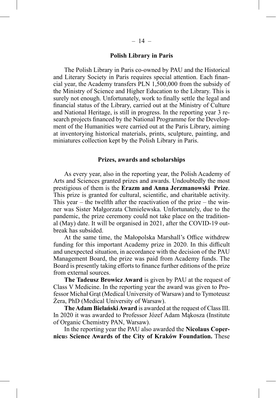#### **Polish Library in Paris**

The Polish Library in Paris co-owned by PAU and the Historical and Literary Society in Paris requires special attention. Each financial year, the Academy transfers PLN 1,500,000 from the subsidy of the Ministry of Science and Higher Education to the Library. This is surely not enough. Unfortunately, work to finally settle the legal and financial status of the Library, carried out at the Ministry of Culture and National Heritage, is still in progress. In the reporting year 3 research projects financed by the National Programme for the Development of the Humanities were carried out at the Paris Library, aiming at inventorying historical materials, prints, sculpture, painting, and miniatures collection kept by the Polish Library in Paris.

#### **Prizes, awards and scholarships**

As every year, also in the reporting year, the Polish Academy of Arts and Sciences granted prizes and awards. Undoubtedly the most prestigious of them is the **Erazm and Anna Jerzmanowski Prize**. This prize is granted for cultural, scientific, and charitable activity. This year – the twelfth after the reactivation of the prize – the winner was Sister Małgorzata Chmielewska. Unfortunately, due to the pandemic, the prize ceremony could not take place on the traditional (May) date. It will be organised in 2021, after the COVID-19 outbreak has subsided.

At the same time, the Małopolska Marshall's Office withdrew funding for this important Academy prize in 2020. In this difficult and unexpected situation, in accordance with the decision of the PAU Management Board, the prize was paid from Academy funds. The Board is presently taking efforts to finance further editions of the prize from external sources.

**The Tadeusz Browicz Award** is given by PAU at the request of Class V Medicine. In the reporting year the award was given to Professor Michał Grąt (Medical University of Warsaw) and to Tymoteusz Żera, PhD (Medical University of Warsaw).

**The Adam Bielański Award** is awarded at the request of Class III. In 2020 it was awarded to Professor Józef Adam Mąkosza (Institute of Organic Chemistry PAN, Warsaw).

In the reporting year the PAU also awarded the **Nicolaus Copernicu**s **Science Awards of the City of Kraków Foundation.** These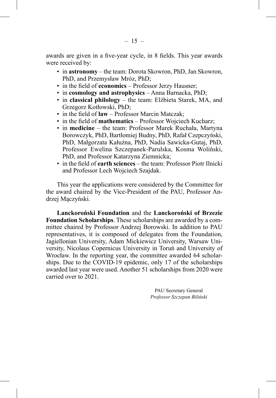awards are given in a five-year cycle, in 8 fields. This year awards were received by:

- in **astronomy** the team: Dorota Skowron, PhD, Jan Skowron, PhD, and Przemysław Mróz, PhD;
- in the field of **economics** Professor Jerzy Hausner;
- in **cosmology and astrophysics** Anna Barnacka, PhD;
- in **classical philology** the team: Elżbieta Starek, MA, and Grzegorz Kotłowski, PhD;
- in the field of **law** Professor Marcin Matczak:
- in the field of **mathematics** Professor Wojciech Kucharz;
- in **medicine** the team: Professor Marek Ruchała, Martyna Borowczyk, PhD, Bartłomiej Budny, PhD, Rafał Czepczyński, PhD, Małgorzata Kałużna, PhD, Nadia Sawicka-Gutaj, PhD, Professor Ewelina Szczepanek-Parulska, Kosma Woliński, PhD, and Professor Katarzyna Ziemnicka;
- in the field of **earth sciences** the team: Professor Piotr Ilnicki and Professor Lech Wojciech Szajdak.

This year the applications were considered by the Committee for the award chaired by the Vice-President of the PAU, Professor Andrzej Mączyński.

**Lanckoroński Foundation** and the **Lanckoroński of Brzezie Foundation Scholarships**. These scholarships are awarded by a committee chaired by Professor Andrzej Borowski. In addition to PAU representatives, it is composed of delegates from the Foundation, Jagiellonian University, Adam Mickiewicz University, Warsaw University, Nicolaus Copernicus University in Toruń and University of Wrocław. In the reporting year, the committee awarded 64 scholarships. Due to the COVID-19 epidemic, only 17 of the scholarships awarded last year were used. Another 51 scholarships from 2020 were carried over to 2021.

> PAU Secretary General *Professor Szczepan Biliński*